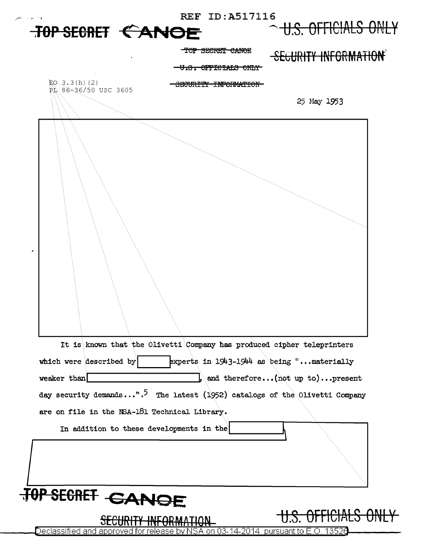

Declassified and approved for release by NSA on 03-14-2014  $\,$  pursuant to E.O. 13526  $\,$